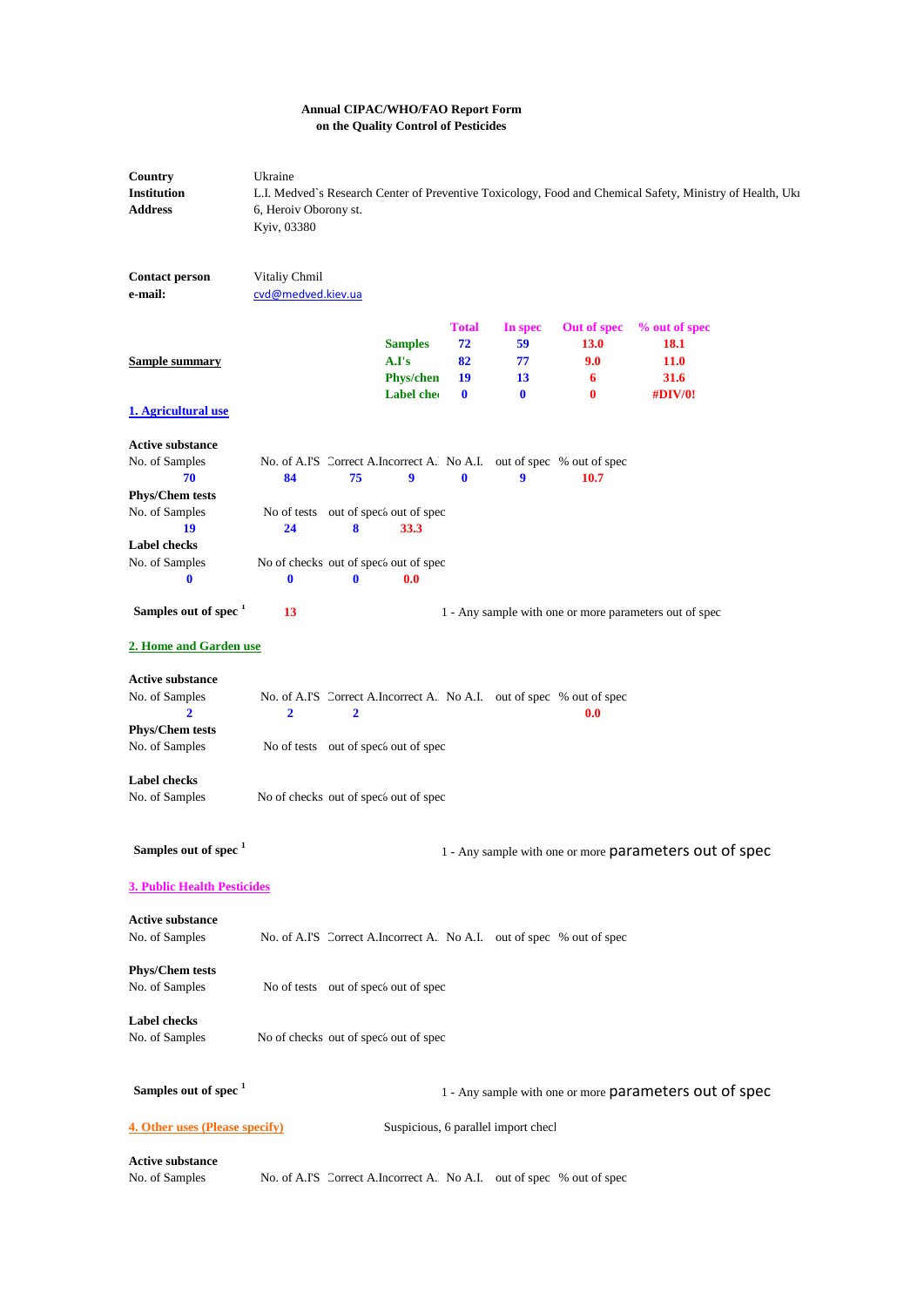## **Annual CIPAC/WHO/FAO Report Form on the Quality Control of Pesticides**

| Country<br><b>Institution</b><br><b>Address</b>                           | Ukraine<br>6, Heroiv Oborony st.<br>Kyiv, 03380   |              |                                                          |                                            |                                       |                                                                               | L.I. Medved's Research Center of Preventive Toxicology, Food and Chemical Safety, Ministry of Health, Uki |  |
|---------------------------------------------------------------------------|---------------------------------------------------|--------------|----------------------------------------------------------|--------------------------------------------|---------------------------------------|-------------------------------------------------------------------------------|-----------------------------------------------------------------------------------------------------------|--|
| <b>Contact person</b><br>e-mail:                                          | Vitaliy Chmil<br>cvd@medved.kiev.ua               |              |                                                          |                                            |                                       |                                                                               |                                                                                                           |  |
| <b>Sample summary</b>                                                     |                                                   |              | <b>Samples</b><br>A.I's<br><b>Phys/chen</b><br>Label che | <b>Total</b><br>72<br>82<br>19<br>$\bf{0}$ | In spec<br>59<br>77<br>13<br>$\bf{0}$ | Out of spec<br>13.0<br>9.0<br>6<br>$\bf{0}$                                   | % out of spec<br>18.1<br><b>11.0</b><br>31.6<br><b>#DIV/0!</b>                                            |  |
| 1. Agricultural use                                                       |                                                   |              |                                                          |                                            |                                       |                                                                               |                                                                                                           |  |
| <b>Active substance</b><br>No. of Samples<br>70<br><b>Phys/Chem tests</b> | 84                                                | 75           | 9                                                        | $\bf{0}$                                   | 9                                     | No. of A.I'S Correct A.Incorrect A. No A.I. out of spec % out of spec<br>10.7 |                                                                                                           |  |
| No. of Samples<br>19                                                      | 24                                                | 8            | No of tests out of spec's out of spec<br>33.3            |                                            |                                       |                                                                               |                                                                                                           |  |
| <b>Label checks</b><br>No. of Samples<br>$\bf{0}$                         | No of checks out of speci out of spec<br>$\bf{0}$ | $\mathbf{0}$ | 0.0                                                      |                                            |                                       |                                                                               |                                                                                                           |  |
| Samples out of spec <sup>1</sup>                                          | 13                                                |              |                                                          |                                            |                                       |                                                                               | 1 - Any sample with one or more parameters out of spec                                                    |  |
| 2. Home and Garden use                                                    |                                                   |              |                                                          |                                            |                                       |                                                                               |                                                                                                           |  |
| <b>Active substance</b><br>No. of Samples<br>$\overline{2}$               | 2                                                 | $\mathbf{2}$ |                                                          |                                            |                                       | No. of A.I'S Correct A.Incorrect A. No A.I. out of spec % out of spec<br>0.0  |                                                                                                           |  |
| <b>Phys/Chem tests</b><br>No. of Samples                                  |                                                   |              | No of tests out of spec's out of spec                    |                                            |                                       |                                                                               |                                                                                                           |  |
| <b>Label checks</b><br>No. of Samples                                     | No of checks out of speci out of spec             |              |                                                          |                                            |                                       |                                                                               |                                                                                                           |  |
| Samples out of spec <sup>1</sup>                                          |                                                   |              |                                                          |                                            |                                       |                                                                               | 1 - Any sample with one or more parameters out of spec                                                    |  |
| <b>3. Public Health Pesticides</b>                                        |                                                   |              |                                                          |                                            |                                       |                                                                               |                                                                                                           |  |
| <b>Active substance</b><br>No. of Samples                                 |                                                   |              |                                                          |                                            |                                       | No. of A.I'S Correct A.Incorrect A. No A.I. out of spec % out of spec         |                                                                                                           |  |
| <b>Phys/Chem tests</b><br>No. of Samples                                  |                                                   |              | No of tests out of spec's out of spec                    |                                            |                                       |                                                                               |                                                                                                           |  |
| <b>Label checks</b><br>No. of Samples                                     | No of checks out of spec <sub>b</sub> out of spec |              |                                                          |                                            |                                       |                                                                               |                                                                                                           |  |
| Samples out of spec <sup>1</sup>                                          |                                                   |              |                                                          |                                            |                                       |                                                                               | 1 - Any sample with one or more parameters out of spec                                                    |  |
| <b>4. Other uses (Please specify)</b>                                     |                                                   |              |                                                          |                                            | Suspicious, 6 parallel import checl   |                                                                               |                                                                                                           |  |
| <b>Active substance</b><br>No. of Samples                                 |                                                   |              |                                                          |                                            |                                       | No. of A.I'S Correct A.Incorrect A. No A.I. out of spec % out of spec         |                                                                                                           |  |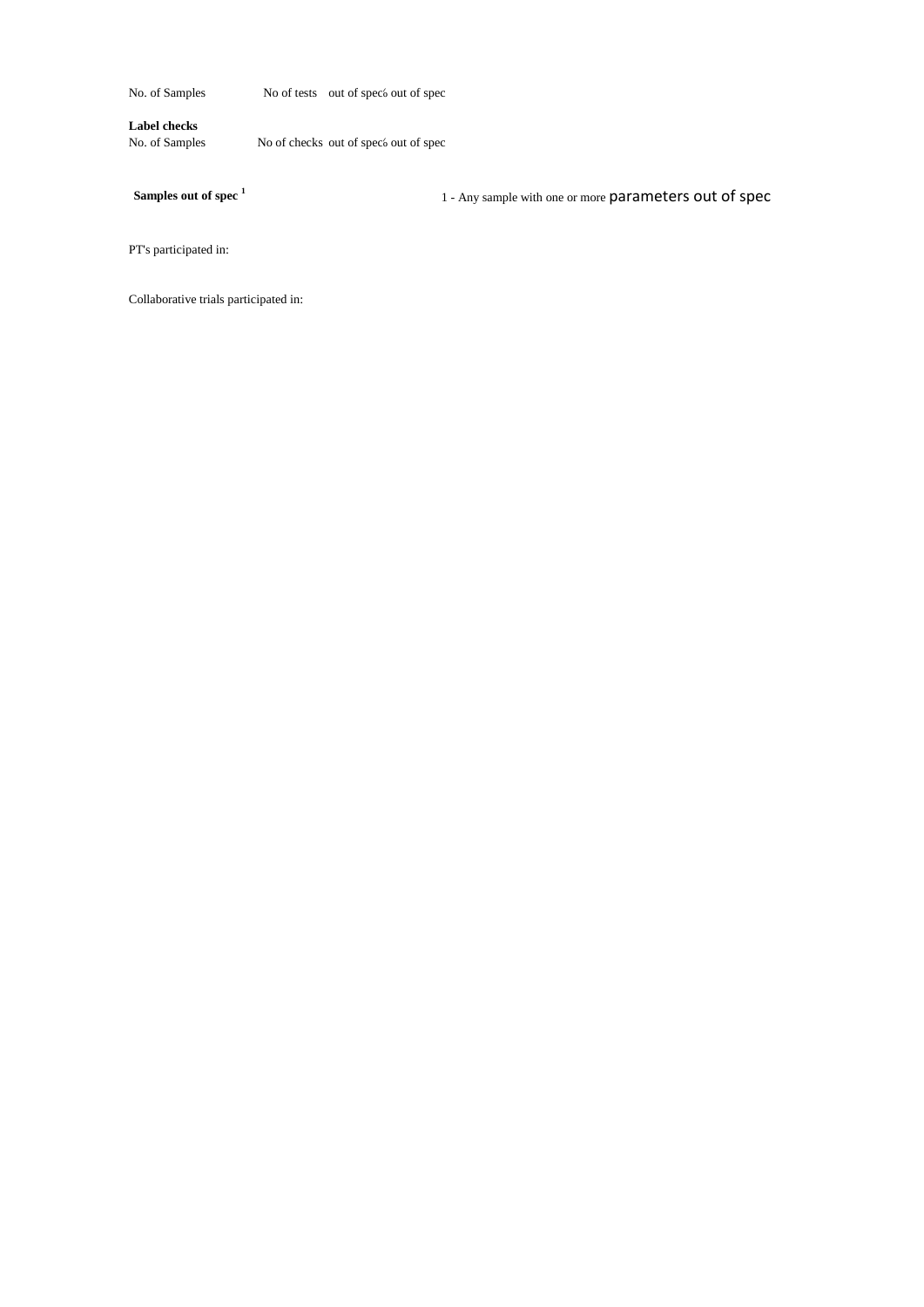No. of Samples No of tests out of spec<sup>5</sup> out of spec

**Label checks**

No. of Samples No of checks out of spec<sup>6</sup> out of spec

**Samples out of spec <sup>1</sup>**

1 - Any sample with one or more parameters out of spec

PT's participated in:

Collaborative trials participated in: